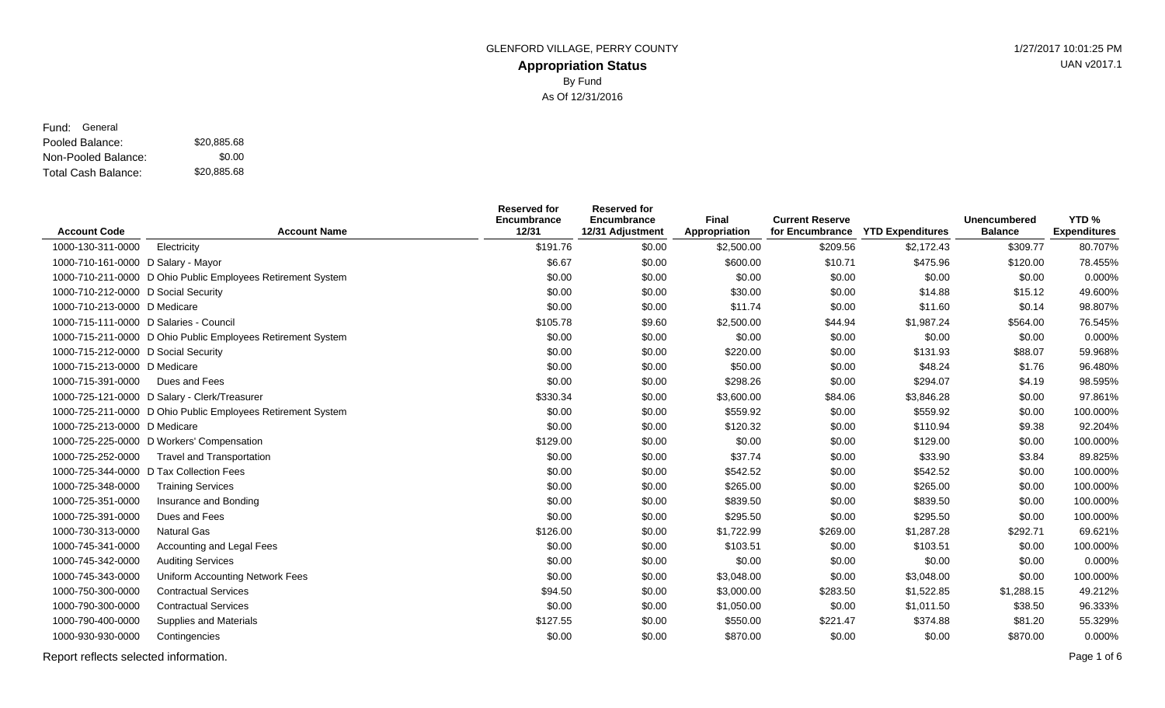#### **Appropriation Status** GLENFORD VILLAGE, PERRY COUNTY **1/27/2017 10:01:25 PM** By Fund As Of 12/31/2016

Pooled Balance: \$20,885.68 Non-Pooled Balance: Total Cash Balance: Fund: General \$0.00 \$20,885.68

| <b>Account Code</b>                    | <b>Account Name</b>                                         | <b>Reserved for</b><br>Encumbrance<br>12/31 | <b>Reserved for</b><br>Encumbrance<br>12/31 Adjustment | Final<br>Appropriation | <b>Current Reserve</b><br>for Encumbrance | <b>YTD Expenditures</b> | <b>Unencumbered</b><br><b>Balance</b> | YTD <sub>%</sub><br><b>Expenditures</b> |
|----------------------------------------|-------------------------------------------------------------|---------------------------------------------|--------------------------------------------------------|------------------------|-------------------------------------------|-------------------------|---------------------------------------|-----------------------------------------|
| 1000-130-311-0000                      | Electricity                                                 | \$191.76                                    | \$0.00                                                 | \$2,500.00             | \$209.56                                  | \$2,172.43              | \$309.77                              | 80.707%                                 |
| 1000-710-161-0000 D Salary - Mayor     |                                                             | \$6.67                                      | \$0.00                                                 | \$600.00               | \$10.71                                   | \$475.96                | \$120.00                              | 78.455%                                 |
|                                        | 1000-710-211-0000 D Ohio Public Employees Retirement System | \$0.00                                      | \$0.00                                                 | \$0.00                 | \$0.00                                    | \$0.00                  | \$0.00                                | 0.000%                                  |
| 1000-710-212-0000 D Social Security    |                                                             | \$0.00                                      | \$0.00                                                 | \$30.00                | \$0.00                                    | \$14.88                 | \$15.12                               | 49.600%                                 |
| 1000-710-213-0000 D Medicare           |                                                             | \$0.00                                      | \$0.00                                                 | \$11.74                | \$0.00                                    | \$11.60                 | \$0.14                                | 98.807%                                 |
| 1000-715-111-0000 D Salaries - Council |                                                             | \$105.78                                    | \$9.60                                                 | \$2,500.00             | \$44.94                                   | \$1,987.24              | \$564.00                              | 76.545%                                 |
|                                        | 1000-715-211-0000 D Ohio Public Employees Retirement System | \$0.00                                      | \$0.00                                                 | \$0.00                 | \$0.00                                    | \$0.00                  | \$0.00                                | 0.000%                                  |
| 1000-715-212-0000 D Social Security    |                                                             | \$0.00                                      | \$0.00                                                 | \$220.00               | \$0.00                                    | \$131.93                | \$88.07                               | 59.968%                                 |
| 1000-715-213-0000 D Medicare           |                                                             | \$0.00                                      | \$0.00                                                 | \$50.00                | \$0.00                                    | \$48.24                 | \$1.76                                | 96.480%                                 |
| 1000-715-391-0000                      | Dues and Fees                                               | \$0.00                                      | \$0.00                                                 | \$298.26               | \$0.00                                    | \$294.07                | \$4.19                                | 98.595%                                 |
|                                        | 1000-725-121-0000 D Salary - Clerk/Treasurer                | \$330.34                                    | \$0.00                                                 | \$3,600.00             | \$84.06                                   | \$3,846.28              | \$0.00                                | 97.861%                                 |
|                                        | 1000-725-211-0000 D Ohio Public Employees Retirement System | \$0.00                                      | \$0.00                                                 | \$559.92               | \$0.00                                    | \$559.92                | \$0.00                                | 100.000%                                |
| 1000-725-213-0000 D Medicare           |                                                             | \$0.00                                      | \$0.00                                                 | \$120.32               | \$0.00                                    | \$110.94                | \$9.38                                | 92.204%                                 |
|                                        | 1000-725-225-0000 D Workers' Compensation                   | \$129.00                                    | \$0.00                                                 | \$0.00                 | \$0.00                                    | \$129.00                | \$0.00                                | 100.000%                                |
| 1000-725-252-0000                      | <b>Travel and Transportation</b>                            | \$0.00                                      | \$0.00                                                 | \$37.74                | \$0.00                                    | \$33.90                 | \$3.84                                | 89.825%                                 |
|                                        | 1000-725-344-0000 D Tax Collection Fees                     | \$0.00                                      | \$0.00                                                 | \$542.52               | \$0.00                                    | \$542.52                | \$0.00                                | 100.000%                                |
| 1000-725-348-0000                      | <b>Training Services</b>                                    | \$0.00                                      | \$0.00                                                 | \$265.00               | \$0.00                                    | \$265.00                | \$0.00                                | 100.000%                                |
| 1000-725-351-0000                      | Insurance and Bonding                                       | \$0.00                                      | \$0.00                                                 | \$839.50               | \$0.00                                    | \$839.50                | \$0.00                                | 100.000%                                |
| 1000-725-391-0000                      | Dues and Fees                                               | \$0.00                                      | \$0.00                                                 | \$295.50               | \$0.00                                    | \$295.50                | \$0.00                                | 100.000%                                |
| 1000-730-313-0000                      | <b>Natural Gas</b>                                          | \$126.00                                    | \$0.00                                                 | \$1,722.99             | \$269.00                                  | \$1,287.28              | \$292.71                              | 69.621%                                 |
| 1000-745-341-0000                      | Accounting and Legal Fees                                   | \$0.00                                      | \$0.00                                                 | \$103.51               | \$0.00                                    | \$103.51                | \$0.00                                | 100.000%                                |
| 1000-745-342-0000                      | <b>Auditing Services</b>                                    | \$0.00                                      | \$0.00                                                 | \$0.00                 | \$0.00                                    | \$0.00                  | \$0.00                                | 0.000%                                  |
| 1000-745-343-0000                      | Uniform Accounting Network Fees                             | \$0.00                                      | \$0.00                                                 | \$3,048.00             | \$0.00                                    | \$3,048.00              | \$0.00                                | 100.000%                                |
| 1000-750-300-0000                      | <b>Contractual Services</b>                                 | \$94.50                                     | \$0.00                                                 | \$3,000.00             | \$283.50                                  | \$1,522.85              | \$1,288.15                            | 49.212%                                 |
| 1000-790-300-0000                      | <b>Contractual Services</b>                                 | \$0.00                                      | \$0.00                                                 | \$1,050.00             | \$0.00                                    | \$1,011.50              | \$38.50                               | 96.333%                                 |
| 1000-790-400-0000                      | <b>Supplies and Materials</b>                               | \$127.55                                    | \$0.00                                                 | \$550.00               | \$221.47                                  | \$374.88                | \$81.20                               | 55.329%                                 |
| 1000-930-930-0000                      | Contingencies                                               | \$0.00                                      | \$0.00                                                 | \$870.00               | \$0.00                                    | \$0.00                  | \$870.00                              | 0.000%                                  |

Report reflects selected information. Page 1 of 6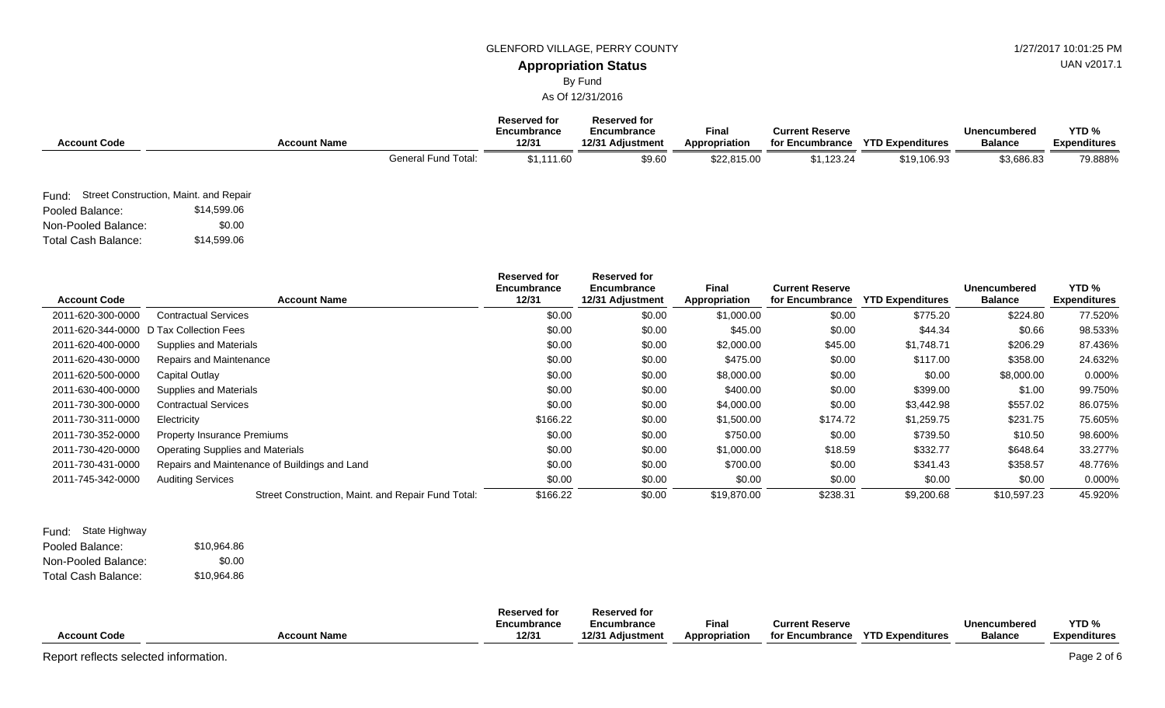#### GLENFORD VILLAGE, PERRY COUNTY **1/27/2017 10:01:25 PM**

### **Appropriation Status**

By Fund

As Of 12/31/2016

| <b>Account Code</b>        |                                              | <b>Account Name</b> |                            | <b>Reserved for</b><br>Encumbrance<br>12/31 | <b>Reserved for</b><br>Encumbrance<br>12/31 Adjustment | <b>Final</b><br>Appropriation | <b>Current Reserve</b><br>for Encumbrance | <b>YTD Expenditures</b> | <b>Unencumbered</b><br><b>Balance</b> | YTD <sub>%</sub><br><b>Expenditures</b> |
|----------------------------|----------------------------------------------|---------------------|----------------------------|---------------------------------------------|--------------------------------------------------------|-------------------------------|-------------------------------------------|-------------------------|---------------------------------------|-----------------------------------------|
|                            |                                              |                     | <b>General Fund Total:</b> | \$1,111.60                                  | \$9.60                                                 | \$22,815.00                   | \$1,123.24                                | \$19,106.93             | \$3,686.83                            | 79.888%                                 |
|                            | Fund: Street Construction, Maint. and Repair |                     |                            |                                             |                                                        |                               |                                           |                         |                                       |                                         |
| Pooled Balance:            | \$14,599.06                                  |                     |                            |                                             |                                                        |                               |                                           |                         |                                       |                                         |
| Non-Pooled Balance:        | \$0.00                                       |                     |                            |                                             |                                                        |                               |                                           |                         |                                       |                                         |
| <b>Total Cash Balance:</b> | \$14,599.06                                  |                     |                            |                                             |                                                        |                               |                                           |                         |                                       |                                         |

| <b>Account Code</b> | <b>Account Name</b>                                | <b>Reserved for</b><br><b>Encumbrance</b><br>12/31 | <b>Reserved for</b><br>Encumbrance<br>12/31 Adjustment | <b>Final</b><br>Appropriation | <b>Current Reserve</b><br>for Encumbrance | <b>YTD Expenditures</b> | <b>Unencumbered</b><br><b>Balance</b> | YTD <sub>%</sub><br><b>Expenditures</b> |
|---------------------|----------------------------------------------------|----------------------------------------------------|--------------------------------------------------------|-------------------------------|-------------------------------------------|-------------------------|---------------------------------------|-----------------------------------------|
| 2011-620-300-0000   | <b>Contractual Services</b>                        | \$0.00                                             | \$0.00                                                 | \$1,000.00                    | \$0.00                                    | \$775.20                | \$224.80                              | 77.520%                                 |
|                     | 2011-620-344-0000 D Tax Collection Fees            | \$0.00                                             | \$0.00                                                 | \$45.00                       | \$0.00                                    | \$44.34                 | \$0.66                                | 98.533%                                 |
| 2011-620-400-0000   | Supplies and Materials                             | \$0.00                                             | \$0.00                                                 | \$2,000.00                    | \$45.00                                   | \$1,748.71              | \$206.29                              | 87.436%                                 |
| 2011-620-430-0000   | Repairs and Maintenance                            | \$0.00                                             | \$0.00                                                 | \$475.00                      | \$0.00                                    | \$117.00                | \$358.00                              | 24.632%                                 |
| 2011-620-500-0000   | Capital Outlay                                     | \$0.00                                             | \$0.00                                                 | \$8,000.00                    | \$0.00                                    | \$0.00                  | \$8,000.00                            | 0.000%                                  |
| 2011-630-400-0000   | Supplies and Materials                             | \$0.00                                             | \$0.00                                                 | \$400.00                      | \$0.00                                    | \$399.00                | \$1.00                                | 99.750%                                 |
| 2011-730-300-0000   | <b>Contractual Services</b>                        | \$0.00                                             | \$0.00                                                 | \$4,000.00                    | \$0.00                                    | \$3,442.98              | \$557.02                              | 86.075%                                 |
| 2011-730-311-0000   | Electricity                                        | \$166.22                                           | \$0.00                                                 | \$1,500.00                    | \$174.72                                  | \$1,259.75              | \$231.75                              | 75.605%                                 |
| 2011-730-352-0000   | <b>Property Insurance Premiums</b>                 | \$0.00                                             | \$0.00                                                 | \$750.00                      | \$0.00                                    | \$739.50                | \$10.50                               | 98.600%                                 |
| 2011-730-420-0000   | <b>Operating Supplies and Materials</b>            | \$0.00                                             | \$0.00                                                 | \$1,000.00                    | \$18.59                                   | \$332.77                | \$648.64                              | 33.277%                                 |
| 2011-730-431-0000   | Repairs and Maintenance of Buildings and Land      | \$0.00                                             | \$0.00                                                 | \$700.00                      | \$0.00                                    | \$341.43                | \$358.57                              | 48.776%                                 |
| 2011-745-342-0000   | <b>Auditing Services</b>                           | \$0.00                                             | \$0.00                                                 | \$0.00                        | \$0.00                                    | \$0.00                  | \$0.00                                | 0.000%                                  |
|                     | Street Construction, Maint. and Repair Fund Total: | \$166.22                                           | \$0.00                                                 | \$19,870.00                   | \$238.31                                  | \$9,200.68              | \$10,597.23                           | 45.920%                                 |

| Fund: State Highway |             |
|---------------------|-------------|
| Pooled Balance:     | \$10.964.86 |
| Non-Pooled Balance: | \$0.00      |
| Total Cash Balance: | \$10,964.86 |

|                     |                     | <b>Reserved for</b> | <b>Reserved for</b> |               |                        |                         |                |                  |
|---------------------|---------------------|---------------------|---------------------|---------------|------------------------|-------------------------|----------------|------------------|
|                     |                     | Encumbrance         | Encumbrance         | Fina          | <b>Current Reserve</b> |                         | Unencumbered   | YTD <sub>%</sub> |
| <b>Account Code</b> | <b>Account Name</b> | 12/31               | 12/31 Adiustment    | Appropriation | for Encumbrance        | <b>YTD Expenditures</b> | <b>Balance</b> | Expenditures     |

UAN v2017.1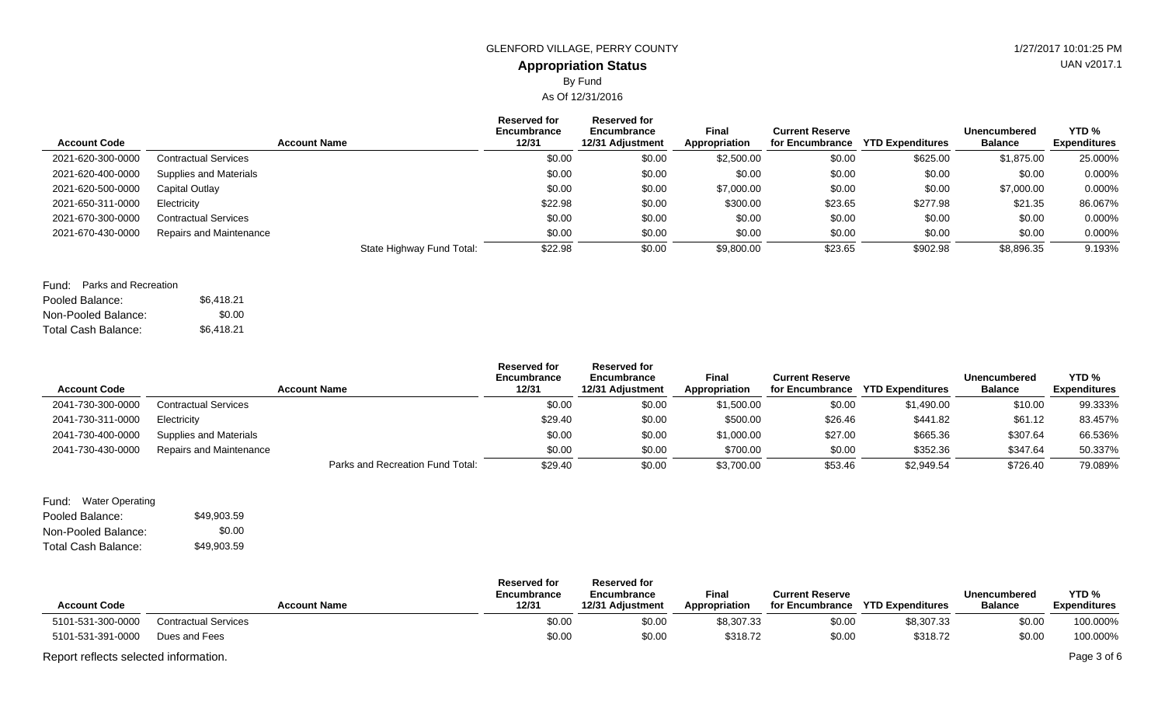# By Fund

As Of 12/31/2016

| <b>Account Code</b> | <b>Account Name</b>         | <b>Reserved for</b><br>Encumbrance<br>12/31 | Reserved for<br>Encumbrance<br>12/31 Adjustment | <b>Final</b><br>Appropriation | <b>Current Reserve</b><br>for Encumbrance | <b>YTD Expenditures</b> | <b>Unencumbered</b><br><b>Balance</b> | YTD %<br><b>Expenditures</b> |
|---------------------|-----------------------------|---------------------------------------------|-------------------------------------------------|-------------------------------|-------------------------------------------|-------------------------|---------------------------------------|------------------------------|
| 2021-620-300-0000   | <b>Contractual Services</b> | \$0.00                                      | \$0.00                                          | \$2,500.00                    | \$0.00                                    | \$625.00                | \$1,875.00                            | 25.000%                      |
| 2021-620-400-0000   | Supplies and Materials      | \$0.00                                      | \$0.00                                          | \$0.00                        | \$0.00                                    | \$0.00                  | \$0.00                                | 0.000%                       |
| 2021-620-500-0000   | Capital Outlay              | \$0.00                                      | \$0.00                                          | \$7,000.00                    | \$0.00                                    | \$0.00                  | \$7,000.00                            | 0.000%                       |
| 2021-650-311-0000   | Electricity                 | \$22.98                                     | \$0.00                                          | \$300.00                      | \$23.65                                   | \$277.98                | \$21.35                               | 86.067%                      |
| 2021-670-300-0000   | <b>Contractual Services</b> | \$0.00                                      | \$0.00                                          | \$0.00                        | \$0.00                                    | \$0.00                  | \$0.00                                | 0.000%                       |
| 2021-670-430-0000   | Repairs and Maintenance     | \$0.00                                      | \$0.00                                          | \$0.00                        | \$0.00                                    | \$0.00                  | \$0.00                                | 0.000%                       |
|                     | State Highway Fund Total:   | \$22.98                                     | \$0.00                                          | \$9,800.00                    | \$23.65                                   | \$902.98                | \$8,896.35                            | 9.193%                       |

| Fund: Parks and Recreation |            |
|----------------------------|------------|
| Pooled Balance:            | \$6.418.21 |
| Non-Pooled Balance:        | \$0.00     |
| Total Cash Balance:        | \$6,418.21 |

| <b>Account Code</b> |                             | <b>Account Name</b>              | <b>Reserved for</b><br>Encumbrance<br>12/31 | <b>Reserved for</b><br>Encumbrance<br>12/31 Adjustment | <b>Final</b><br>Appropriation | <b>Current Reserve</b><br>for Encumbrance | <b>YTD Expenditures</b> | Unencumbered<br><b>Balance</b> | YTD <sub>%</sub><br><b>Expenditures</b> |
|---------------------|-----------------------------|----------------------------------|---------------------------------------------|--------------------------------------------------------|-------------------------------|-------------------------------------------|-------------------------|--------------------------------|-----------------------------------------|
| 2041-730-300-0000   | <b>Contractual Services</b> |                                  | \$0.00                                      | \$0.00                                                 | \$1,500.00                    | \$0.00                                    | \$1,490.00              | \$10.00                        | 99.333%                                 |
| 2041-730-311-0000   | Electricity                 |                                  | \$29.40                                     | \$0.00                                                 | \$500.00                      | \$26.46                                   | \$441.82                | \$61.12                        | 83.457%                                 |
| 2041-730-400-0000   | Supplies and Materials      |                                  | \$0.00                                      | \$0.00                                                 | \$1,000.00                    | \$27.00                                   | \$665.36                | \$307.64                       | 66.536%                                 |
| 2041-730-430-0000   | Repairs and Maintenance     |                                  | \$0.00                                      | \$0.00                                                 | \$700.00                      | \$0.00                                    | \$352.36                | \$347.64                       | 50.337%                                 |
|                     |                             | Parks and Recreation Fund Total: | \$29.40                                     | \$0.00                                                 | \$3,700.00                    | \$53.46                                   | \$2,949.54              | \$726.40                       | 79.089%                                 |

Pooled Balance: \$49,903.59 Non-Pooled Balance: Total Cash Balance: Fund: Water Operating \$0.00 \$49,903.59

| <b>Account Code</b>                   | <b>Account Name</b>         | <b>Reserved for</b><br>Encumbrance<br>12/31 | <b>Reserved for</b><br>Encumbrance<br>12/31 Adjustment | <b>Final</b><br>Appropriation | <b>Current Reserve</b><br>for Encumbrance | <b>YTD Expenditures</b> | Unencumbered<br><b>Balance</b> | YTD <sub>%</sub><br><b>Expenditures</b> |
|---------------------------------------|-----------------------------|---------------------------------------------|--------------------------------------------------------|-------------------------------|-------------------------------------------|-------------------------|--------------------------------|-----------------------------------------|
| 5101-531-300-0000                     | <b>Contractual Services</b> | \$0.00                                      | \$0.00                                                 | \$8,307.33                    | \$0.00                                    | \$8,307.33              | \$0.00                         | 100.000%                                |
| 5101-531-391-0000                     | Dues and Fees               | \$0.00                                      | \$0.00                                                 | \$318.72                      | \$0.00                                    | \$318.72                | \$0.00                         | 100.000%                                |
| Report reflects selected information. |                             |                                             |                                                        |                               |                                           |                         |                                | Page 3 of 6                             |

UAN v2017.1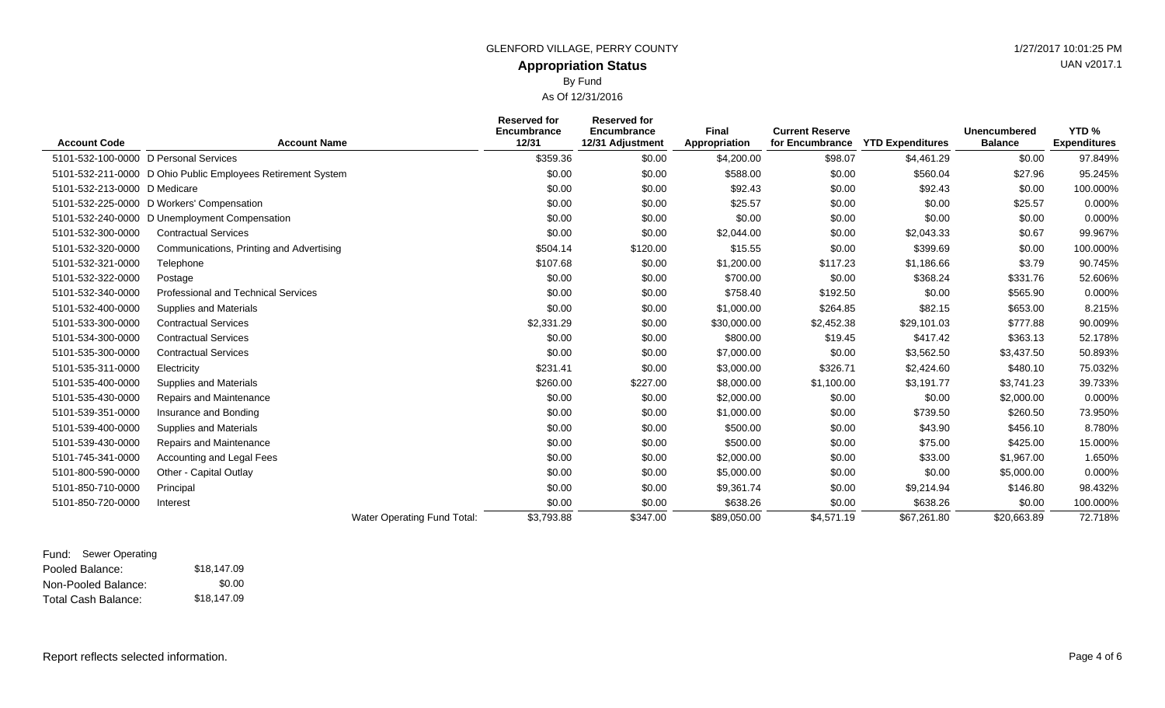By Fund

As Of 12/31/2016

| <b>Account Code</b>                   | <b>Account Name</b>                                         | <b>Reserved for</b><br>Encumbrance<br>12/31 | <b>Reserved for</b><br>Encumbrance<br>12/31 Adjustment | Final<br>Appropriation | <b>Current Reserve</b><br>for Encumbrance | <b>YTD Expenditures</b> | <b>Unencumbered</b><br><b>Balance</b> | YTD%<br><b>Expenditures</b> |
|---------------------------------------|-------------------------------------------------------------|---------------------------------------------|--------------------------------------------------------|------------------------|-------------------------------------------|-------------------------|---------------------------------------|-----------------------------|
| 5101-532-100-0000 D Personal Services |                                                             | \$359.36                                    | \$0.00                                                 | \$4,200.00             | \$98.07                                   | \$4,461.29              | \$0.00                                | 97.849%                     |
|                                       | 5101-532-211-0000 D Ohio Public Employees Retirement System | \$0.00                                      | \$0.00                                                 | \$588.00               | \$0.00                                    | \$560.04                | \$27.96                               | 95.245%                     |
| 5101-532-213-0000 D Medicare          |                                                             | \$0.00                                      | \$0.00                                                 | \$92.43                | \$0.00                                    | \$92.43                 | \$0.00                                | 100.000%                    |
|                                       | 5101-532-225-0000 D Workers' Compensation                   | \$0.00                                      | \$0.00                                                 | \$25.57                | \$0.00                                    | \$0.00                  | \$25.57                               | 0.000%                      |
| 5101-532-240-0000                     | D Unemployment Compensation                                 | \$0.00                                      | \$0.00                                                 | \$0.00                 | \$0.00                                    | \$0.00                  | \$0.00                                | 0.000%                      |
| 5101-532-300-0000                     | <b>Contractual Services</b>                                 | \$0.00                                      | \$0.00                                                 | \$2,044.00             | \$0.00                                    | \$2,043.33              | \$0.67                                | 99.967%                     |
| 5101-532-320-0000                     | Communications, Printing and Advertising                    | \$504.14                                    | \$120.00                                               | \$15.55                | \$0.00                                    | \$399.69                | \$0.00                                | 100.000%                    |
| 5101-532-321-0000                     | Telephone                                                   | \$107.68                                    | \$0.00                                                 | \$1,200.00             | \$117.23                                  | \$1,186.66              | \$3.79                                | 90.745%                     |
| 5101-532-322-0000                     | Postage                                                     | \$0.00                                      | \$0.00                                                 | \$700.00               | \$0.00                                    | \$368.24                | \$331.76                              | 52.606%                     |
| 5101-532-340-0000                     | <b>Professional and Technical Services</b>                  | \$0.00                                      | \$0.00                                                 | \$758.40               | \$192.50                                  | \$0.00                  | \$565.90                              | 0.000%                      |
| 5101-532-400-0000                     | Supplies and Materials                                      | \$0.00                                      | \$0.00                                                 | \$1,000.00             | \$264.85                                  | \$82.15                 | \$653.00                              | 8.215%                      |
| 5101-533-300-0000                     | <b>Contractual Services</b>                                 | \$2,331.29                                  | \$0.00                                                 | \$30,000.00            | \$2,452.38                                | \$29,101.03             | \$777.88                              | 90.009%                     |
| 5101-534-300-0000                     | <b>Contractual Services</b>                                 | \$0.00                                      | \$0.00                                                 | \$800.00               | \$19.45                                   | \$417.42                | \$363.13                              | 52.178%                     |
| 5101-535-300-0000                     | <b>Contractual Services</b>                                 | \$0.00                                      | \$0.00                                                 | \$7,000.00             | \$0.00                                    | \$3,562.50              | \$3,437.50                            | 50.893%                     |
| 5101-535-311-0000                     | Electricity                                                 | \$231.41                                    | \$0.00                                                 | \$3,000.00             | \$326.71                                  | \$2,424.60              | \$480.10                              | 75.032%                     |
| 5101-535-400-0000                     | <b>Supplies and Materials</b>                               | \$260.00                                    | \$227.00                                               | \$8,000.00             | \$1,100.00                                | \$3,191.77              | \$3,741.23                            | 39.733%                     |
| 5101-535-430-0000                     | Repairs and Maintenance                                     | \$0.00                                      | \$0.00                                                 | \$2,000.00             | \$0.00                                    | \$0.00                  | \$2,000.00                            | 0.000%                      |
| 5101-539-351-0000                     | Insurance and Bonding                                       | \$0.00                                      | \$0.00                                                 | \$1,000.00             | \$0.00                                    | \$739.50                | \$260.50                              | 73.950%                     |
| 5101-539-400-0000                     | Supplies and Materials                                      | \$0.00                                      | \$0.00                                                 | \$500.00               | \$0.00                                    | \$43.90                 | \$456.10                              | 8.780%                      |
| 5101-539-430-0000                     | Repairs and Maintenance                                     | \$0.00                                      | \$0.00                                                 | \$500.00               | \$0.00                                    | \$75.00                 | \$425.00                              | 15.000%                     |
| 5101-745-341-0000                     | Accounting and Legal Fees                                   | \$0.00                                      | \$0.00                                                 | \$2,000.00             | \$0.00                                    | \$33.00                 | \$1,967.00                            | 1.650%                      |
| 5101-800-590-0000                     | Other - Capital Outlay                                      | \$0.00                                      | \$0.00                                                 | \$5,000.00             | \$0.00                                    | \$0.00                  | \$5,000.00                            | 0.000%                      |
| 5101-850-710-0000                     | Principal                                                   | \$0.00                                      | \$0.00                                                 | \$9,361.74             | \$0.00                                    | \$9,214.94              | \$146.80                              | 98.432%                     |
| 5101-850-720-0000                     | Interest                                                    | \$0.00                                      | \$0.00                                                 | \$638.26               | \$0.00                                    | \$638.26                | \$0.00                                | 100.000%                    |
|                                       | Water Operating Fund Total:                                 | \$3,793.88                                  | \$347.00                                               | \$89,050.00            | \$4,571.19                                | \$67,261.80             | \$20,663.89                           | 72.718%                     |

#### Pooled Balance: \$18,147.09 Non-Pooled Balance: Total Cash Balance: Fund: Sewer Operating \$0.00 \$18,147.09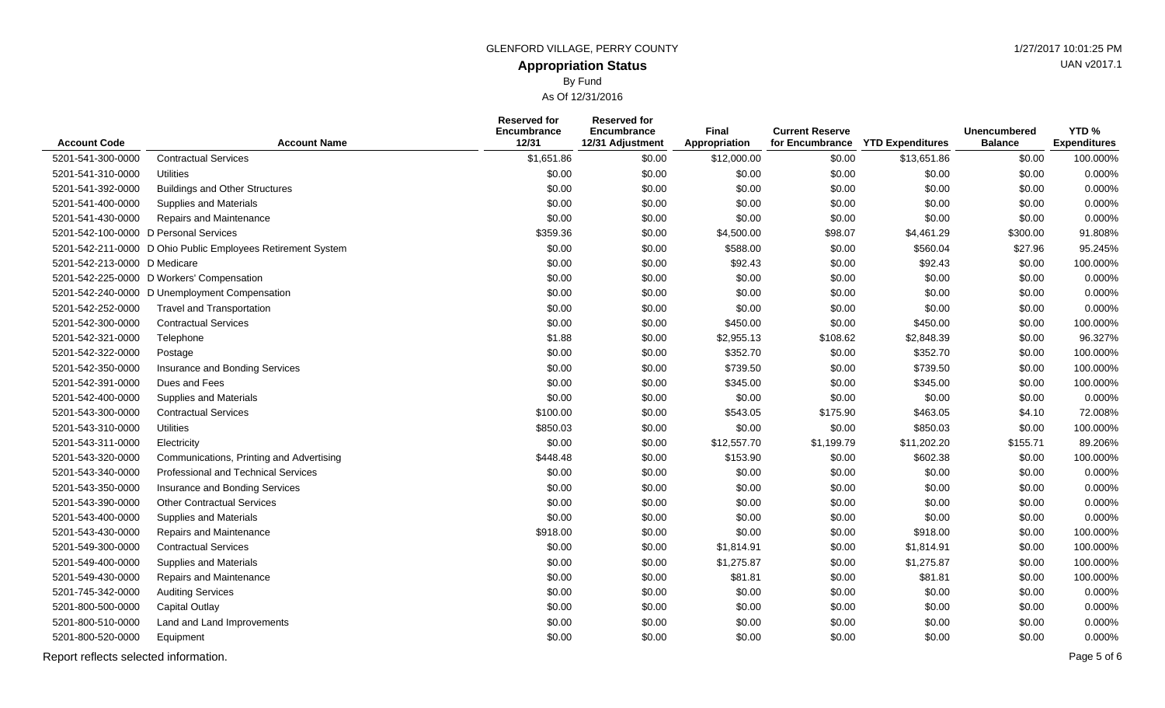By Fund

As Of 12/31/2016

|                                       |                                                             | <b>Reserved for</b><br>Encumbrance | <b>Reserved for</b><br>Encumbrance | <b>Final</b>  | <b>Current Reserve</b> |                         | <b>Unencumbered</b> | YTD <sub>%</sub>    |
|---------------------------------------|-------------------------------------------------------------|------------------------------------|------------------------------------|---------------|------------------------|-------------------------|---------------------|---------------------|
| <b>Account Code</b>                   | <b>Account Name</b>                                         | 12/31                              | 12/31 Adjustment                   | Appropriation | for Encumbrance        | <b>YTD Expenditures</b> | <b>Balance</b>      | <b>Expenditures</b> |
| 5201-541-300-0000                     | <b>Contractual Services</b>                                 | \$1,651.86                         | \$0.00                             | \$12,000.00   | \$0.00                 | \$13,651.86             | \$0.00              | 100.000%            |
| 5201-541-310-0000                     | Utilities                                                   | \$0.00                             | \$0.00                             | \$0.00        | \$0.00                 | \$0.00                  | \$0.00              | 0.000%              |
| 5201-541-392-0000                     | <b>Buildings and Other Structures</b>                       | \$0.00                             | \$0.00                             | \$0.00        | \$0.00                 | \$0.00                  | \$0.00              | 0.000%              |
| 5201-541-400-0000                     | <b>Supplies and Materials</b>                               | \$0.00                             | \$0.00                             | \$0.00        | \$0.00                 | \$0.00                  | \$0.00              | 0.000%              |
| 5201-541-430-0000                     | Repairs and Maintenance                                     | \$0.00                             | \$0.00                             | \$0.00        | \$0.00                 | \$0.00                  | \$0.00              | 0.000%              |
| 5201-542-100-0000 D Personal Services |                                                             | \$359.36                           | \$0.00                             | \$4,500.00    | \$98.07                | \$4,461.29              | \$300.00            | 91.808%             |
|                                       | 5201-542-211-0000 D Ohio Public Employees Retirement System | \$0.00                             | \$0.00                             | \$588.00      | \$0.00                 | \$560.04                | \$27.96             | 95.245%             |
| 5201-542-213-0000 D Medicare          |                                                             | \$0.00                             | \$0.00                             | \$92.43       | \$0.00                 | \$92.43                 | \$0.00              | 100.000%            |
|                                       | 5201-542-225-0000 D Workers' Compensation                   | \$0.00                             | \$0.00                             | \$0.00        | \$0.00                 | \$0.00                  | \$0.00              | 0.000%              |
|                                       | 5201-542-240-0000 D Unemployment Compensation               | \$0.00                             | \$0.00                             | \$0.00        | \$0.00                 | \$0.00                  | \$0.00              | 0.000%              |
| 5201-542-252-0000                     | <b>Travel and Transportation</b>                            | \$0.00                             | \$0.00                             | \$0.00        | \$0.00                 | \$0.00                  | \$0.00              | 0.000%              |
| 5201-542-300-0000                     | <b>Contractual Services</b>                                 | \$0.00                             | \$0.00                             | \$450.00      | \$0.00                 | \$450.00                | \$0.00              | 100.000%            |
| 5201-542-321-0000                     | Telephone                                                   | \$1.88                             | \$0.00                             | \$2,955.13    | \$108.62               | \$2,848.39              | \$0.00              | 96.327%             |
| 5201-542-322-0000                     | Postage                                                     | \$0.00                             | \$0.00                             | \$352.70      | \$0.00                 | \$352.70                | \$0.00              | 100.000%            |
| 5201-542-350-0000                     | Insurance and Bonding Services                              | \$0.00                             | \$0.00                             | \$739.50      | \$0.00                 | \$739.50                | \$0.00              | 100.000%            |
| 5201-542-391-0000                     | Dues and Fees                                               | \$0.00                             | \$0.00                             | \$345.00      | \$0.00                 | \$345.00                | \$0.00              | 100.000%            |
| 5201-542-400-0000                     | <b>Supplies and Materials</b>                               | \$0.00                             | \$0.00                             | \$0.00        | \$0.00                 | \$0.00                  | \$0.00              | 0.000%              |
| 5201-543-300-0000                     | <b>Contractual Services</b>                                 | \$100.00                           | \$0.00                             | \$543.05      | \$175.90               | \$463.05                | \$4.10              | 72.008%             |
| 5201-543-310-0000                     | <b>Utilities</b>                                            | \$850.03                           | \$0.00                             | \$0.00        | \$0.00                 | \$850.03                | \$0.00              | 100.000%            |
| 5201-543-311-0000                     | Electricity                                                 | \$0.00                             | \$0.00                             | \$12,557.70   | \$1,199.79             | \$11,202.20             | \$155.71            | 89.206%             |
| 5201-543-320-0000                     | Communications, Printing and Advertising                    | \$448.48                           | \$0.00                             | \$153.90      | \$0.00                 | \$602.38                | \$0.00              | 100.000%            |
| 5201-543-340-0000                     | Professional and Technical Services                         | \$0.00                             | \$0.00                             | \$0.00        | \$0.00                 | \$0.00                  | \$0.00              | 0.000%              |
| 5201-543-350-0000                     | Insurance and Bonding Services                              | \$0.00                             | \$0.00                             | \$0.00        | \$0.00                 | \$0.00                  | \$0.00              | 0.000%              |
| 5201-543-390-0000                     | <b>Other Contractual Services</b>                           | \$0.00                             | \$0.00                             | \$0.00        | \$0.00                 | \$0.00                  | \$0.00              | 0.000%              |
| 5201-543-400-0000                     | <b>Supplies and Materials</b>                               | \$0.00                             | \$0.00                             | \$0.00        | \$0.00                 | \$0.00                  | \$0.00              | 0.000%              |
| 5201-543-430-0000                     | Repairs and Maintenance                                     | \$918.00                           | \$0.00                             | \$0.00        | \$0.00                 | \$918.00                | \$0.00              | 100.000%            |
| 5201-549-300-0000                     | <b>Contractual Services</b>                                 | \$0.00                             | \$0.00                             | \$1,814.91    | \$0.00                 | \$1,814.91              | \$0.00              | 100.000%            |
| 5201-549-400-0000                     | <b>Supplies and Materials</b>                               | \$0.00                             | \$0.00                             | \$1,275.87    | \$0.00                 | \$1,275.87              | \$0.00              | 100.000%            |
| 5201-549-430-0000                     | Repairs and Maintenance                                     | \$0.00                             | \$0.00                             | \$81.81       | \$0.00                 | \$81.81                 | \$0.00              | 100.000%            |
| 5201-745-342-0000                     | <b>Auditing Services</b>                                    | \$0.00                             | \$0.00                             | \$0.00        | \$0.00                 | \$0.00                  | \$0.00              | 0.000%              |
| 5201-800-500-0000                     | <b>Capital Outlay</b>                                       | \$0.00                             | \$0.00                             | \$0.00        | \$0.00                 | \$0.00                  | \$0.00              | 0.000%              |
| 5201-800-510-0000                     | Land and Land Improvements                                  | \$0.00                             | \$0.00                             | \$0.00        | \$0.00                 | \$0.00                  | \$0.00              | 0.000%              |
| 5201-800-520-0000                     | Equipment                                                   | \$0.00                             | \$0.00                             | \$0.00        | \$0.00                 | \$0.00                  | \$0.00              | 0.000%              |
| Report reflects selected information. |                                                             |                                    |                                    |               |                        |                         |                     | Page 5 of 6         |

UAN v2017.1